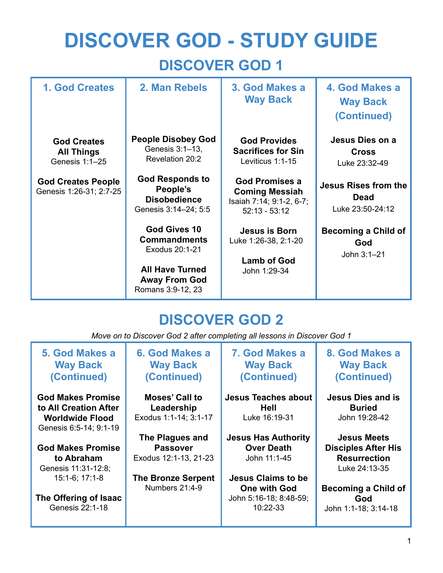# **DISCOVER GOD - STUDY GUIDE DISCOVER GOD 1**

| <b>1. God Creates</b>                                     | 2. Man Rebels                                                                                                                       | 3. God Makes a<br><b>Way Back</b>                                                             | 4. God Makes a<br><b>Way Back</b><br>(Continued)               |
|-----------------------------------------------------------|-------------------------------------------------------------------------------------------------------------------------------------|-----------------------------------------------------------------------------------------------|----------------------------------------------------------------|
| <b>God Creates</b><br><b>All Things</b><br>Genesis 1:1-25 | <b>People Disobey God</b><br>Genesis 3:1-13,<br>Revelation 20:2                                                                     | <b>God Provides</b><br><b>Sacrifices for Sin</b><br>Leviticus 1:1-15                          | Jesus Dies on a<br><b>Cross</b><br>Luke 23:32-49               |
| <b>God Creates People</b><br>Genesis 1:26-31; 2:7-25      | <b>God Responds to</b><br>People's<br><b>Disobedience</b><br>Genesis 3:14-24; 5:5                                                   | <b>God Promises a</b><br><b>Coming Messiah</b><br>Isaiah 7:14; 9:1-2, 6-7;<br>$52:13 - 53:12$ | <b>Jesus Rises from the</b><br><b>Dead</b><br>Luke 23:50-24:12 |
|                                                           | <b>God Gives 10</b><br><b>Commandments</b><br>Exodus 20:1-21<br><b>All Have Turned</b><br><b>Away From God</b><br>Romans 3:9-12, 23 | <b>Jesus is Born</b><br>Luke 1:26-38, 2:1-20<br><b>Lamb of God</b><br>John 1:29-34            | <b>Becoming a Child of</b><br>God<br>John 3:1-21               |

## **DISCOVER GOD 2**

*Move on to Discover God 2 after completing all lessons in Discover God 1*

| 5. God Makes a<br><b>Way Back</b><br>(Continued) | 6. God Makes a<br><b>Way Back</b><br>(Continued) | 7. God Makes a<br><b>Way Back</b><br>(Continued) | 8. God Makes a<br><b>Way Back</b><br>(Continued) |
|--------------------------------------------------|--------------------------------------------------|--------------------------------------------------|--------------------------------------------------|
| <b>God Makes Promise</b>                         | <b>Moses' Call to</b>                            | <b>Jesus Teaches about</b>                       | <b>Jesus Dies and is</b>                         |
| to All Creation After                            | Leadership                                       | Hell                                             | <b>Buried</b>                                    |
| <b>Worldwide Flood</b><br>Genesis 6:5-14; 9:1-19 | Exodus 1:1-14; 3:1-17                            | Luke 16:19-31                                    | John 19:28-42                                    |
|                                                  | The Plagues and                                  | <b>Jesus Has Authority</b>                       | <b>Jesus Meets</b>                               |
| <b>God Makes Promise</b>                         | <b>Passover</b>                                  | <b>Over Death</b>                                | <b>Disciples After His</b>                       |
| to Abraham<br>Genesis 11:31-12:8;                | Exodus 12:1-13, 21-23                            | John 11:1-45                                     | <b>Resurrection</b><br>Luke 24:13-35             |
| $15:1-6$ ; 17:1-8                                | <b>The Bronze Serpent</b>                        | <b>Jesus Claims to be</b>                        |                                                  |
|                                                  | Numbers 21:4-9                                   | <b>One with God</b>                              | Becoming a Child of                              |
| The Offering of Isaac<br>Genesis 22:1-18         |                                                  | John 5:16-18; 8:48-59;<br>10:22-33               | God<br>John 1:1-18; 3:14-18                      |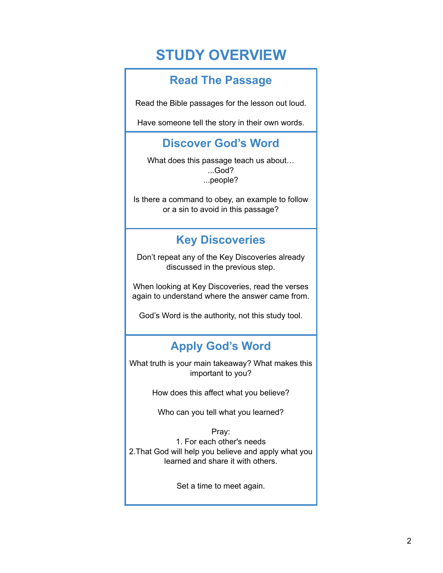## **STUDY OVERVIEW**

## **Read The Passage**

Read the Bible passages for the lesson out loud.

Have someone tell the story in their own words.

## **Discover God's Word**

What does this passage teach us about… ...God? ...people?

Is there a command to obey, an example to follow or a sin to avoid in this passage?

## **Key Discoveries**

Don't repeat any of the Key Discoveries already discussed in the previous step.

When looking at Key Discoveries, read the verses again to understand where the answer came from.

God's Word is the authority, not this study tool.

## **Apply God's Word**

What truth is your main takeaway? What makes this important to you?

How does this affect what you believe?

Who can you tell what you learned?

Pray: 1. For each other's needs 2.That God will help you believe and apply what you learned and share it with others.

Set a time to meet again.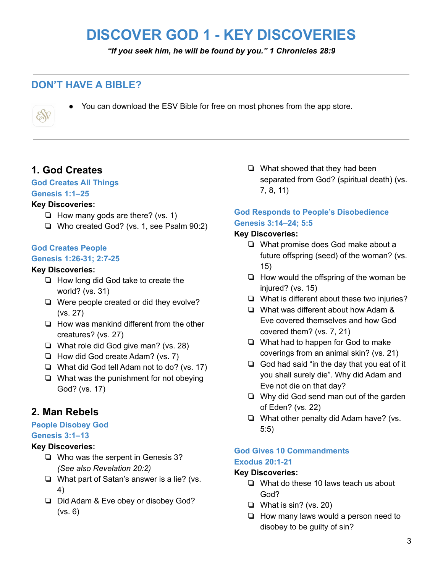## **DISCOVER GOD 1 - KEY DISCOVERIES**

*"If you seek him, he will be found by you." 1 Chronicles 28:9*

## **DON'T HAVE A BIBLE?**



● You can download the ESV Bible for free on most phones from the app store.

## **1. God Creates**

#### **God Creates All Things**

#### **Genesis 1:1–25**

#### **Key Discoveries:**

- ❏ How many gods are there? (vs. 1)
- ❏ Who created God? (vs. 1, see Psalm 90:2)

#### **God Creates People Genesis 1:26-31; 2:7-25**

#### **Key Discoveries:**

- ❏ How long did God take to create the world? (vs. 31)
- ❏ Were people created or did they evolve? (vs. 27)
- ❏ How was mankind different from the other creatures? (vs. 27)
- ❏ What role did God give man? (vs. 28)
- ❏ How did God create Adam? (vs. 7)
- ❏ What did God tell Adam not to do? (vs. 17)
- ❏ What was the punishment for not obeying God? (vs. 17)

## **2. Man Rebels**

#### **People Disobey God**

#### **Genesis 3:1–13**

#### **Key Discoveries:**

- ❏ Who was the serpent in Genesis 3? *(See also Revelation 20:2)*
- ❏ What part of Satan's answer is a lie? (vs. 4)
- ❏ Did Adam & Eve obey or disobey God? (vs. 6)

❏ What showed that they had been separated from God? (spiritual death) (vs. 7, 8, 11)

#### **God Responds to People's Disobedience Genesis 3:14–24; 5:5**

#### **Key Discoveries:**

- ❏ What promise does God make about a future offspring (seed) of the woman? (vs. 15)
- ❏ How would the offspring of the woman be injured? (vs. 15)
- ❏ What is different about these two injuries?
- ❏ What was different about how Adam & Eve covered themselves and how God covered them? (vs. 7, 21)
- ❏ What had to happen for God to make coverings from an animal skin? (vs. 21)
- ❏ God had said "in the day that you eat of it you shall surely die". Why did Adam and Eve not die on that day?
- ❏ Why did God send man out of the garden of Eden? (vs. 22)
- ❏ What other penalty did Adam have? (vs. 5:5)

#### **God Gives 10 Commandments Exodus 20:1-21**

#### **Key Discoveries:**

- ❏ What do these 10 laws teach us about God?
- ❏ What is sin? (vs. 20)
- ❏ How many laws would a person need to disobey to be guilty of sin?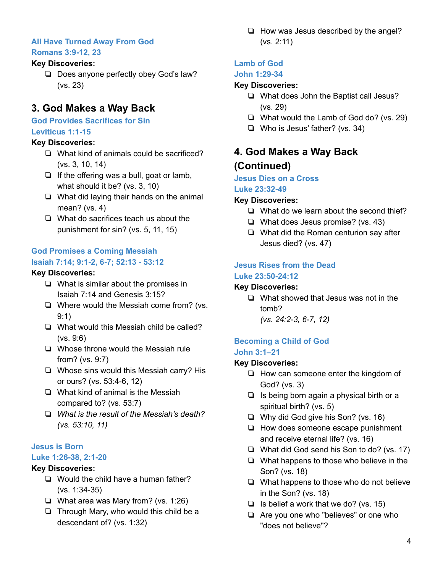#### **All Have Turned Away From God Romans 3:9-12, 23**

#### **Key Discoveries:**

❏ Does anyone perfectly obey God's law? (vs. 23)

## **3. God Makes a Way Back**

#### **God Provides Sacrifices for Sin Leviticus 1:1-15**

#### **Key Discoveries:**

- ❏ What kind of animals could be sacrificed? (vs. 3, 10, 14)
- ❏ If the offering was a bull, goat or lamb, what should it be? (vs. 3, 10)
- ❏ What did laying their hands on the animal mean? (vs. 4)
- ❏ What do sacrifices teach us about the punishment for sin? (vs. 5, 11, 15)

#### **God Promises a Coming Messiah Isaiah 7:14; 9:1-2, 6-7; 52:13 - 53:12**

#### **Key Discoveries:**

- ❏ What is similar about the promises in Isaiah 7:14 and Genesis 3:15?
- ❏ Where would the Messiah come from? (vs. 9:1)
- ❏ What would this Messiah child be called? (vs. 9:6)
- ❏ Whose throne would the Messiah rule from? (vs. 9:7)
- ❏ Whose sins would this Messiah carry? His or ours? (vs. 53:4-6, 12)
- ❏ What kind of animal is the Messiah compared to? (vs. 53:7)
- ❏ *What is the result of the Messiah's death? (vs. 53:10, 11)*

#### **Jesus is Born**

#### **Luke 1:26-38, 2:1-20**

#### **Key Discoveries:**

- ❏ Would the child have a human father? (vs. 1:34-35)
- ❏ What area was Mary from? (vs. 1:26)
- ❏ Through Mary, who would this child be a descendant of? (vs. 1:32)

❏ How was Jesus described by the angel? (vs. 2:11)

#### **Lamb of God**

#### **John 1:29-34**

#### **Key Discoveries:**

- ❏ What does John the Baptist call Jesus? (vs. 29)
- ❏ What would the Lamb of God do? (vs. 29)
- ❏ Who is Jesus' father? (vs. 34)

## **4. God Makes a Way Back (Continued)**

### **Jesus Dies on a Cross**

## **Luke 23:32-49**

#### **Key Discoveries:**

- ❏ What do we learn about the second thief?
- ❏ What does Jesus promise? (vs. 43)
- ❏ What did the Roman centurion say after Jesus died? (vs. 47)

#### **Jesus Rises from the Dead Luke 23:50-24:12**

#### **Key Discoveries:**

❏ What showed that Jesus was not in the tomb?

*(vs. 24:2-3, 6-7, 12)*

#### **Becoming a Child of God John 3:1–21**

#### **Key Discoveries:**

- ❏ How can someone enter the kingdom of God? (vs. 3)
- ❏ Is being born again a physical birth or a spiritual birth? (vs. 5)
- ❏ Why did God give his Son? (vs. 16)
- ❏ How does someone escape punishment and receive eternal life? (vs. 16)
- ❏ What did God send his Son to do? (vs. 17)
- ❏ What happens to those who believe in the Son? (vs. 18)
- ❏ What happens to those who do not believe in the Son? (vs. 18)
- ❏ Is belief a work that we do? (vs. 15)
- ❏ Are you one who "believes" or one who "does not believe"?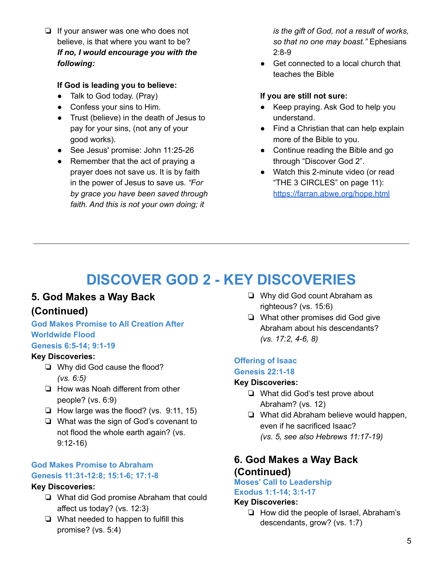❏ If your answer was one who does not believe, is that where you want to be? *If no, I would encourage you with the following:*

#### **If God is leading you to believe:**

- Talk to God today. (Pray)
- Confess your sins to Him.
- Trust (believe) in the death of Jesus to pay for your sins, (not any of your good works).
- See Jesus' promise: John 11:25-26
- Remember that the act of praying a prayer does not save us. It is by faith in the power of Jesus to save us. *"For by grace you have been saved through faith. And this is not your own doing; it*

*is the gift of God, not a result of works, so that no one may boast."* Ephesians 2:8-9

● Get connected to a local church that teaches the Bible

#### **If you are still not sure:**

- Keep praying. Ask God to help you understand.
- Find a Christian that can help explain more of the Bible to you.
- Continue reading the Bible and go through "Discover God 2".
- Watch this 2-minute video (or read "THE 3 CIRCLES" on page 11): <https://farran.abwe.org/hope.html>

## **DISCOVER GOD 2 - KEY DISCOVERIES**

## **5. God Makes a Way Back (Continued)**

#### **God Makes Promise to All Creation After Worldwide Flood**

#### **Genesis 6:5-14; 9:1-19**

#### **Key Discoveries:**

- ❏ Why did God cause the flood? *(vs. 6:5)*
- ❏ How was Noah different from other people? (vs. 6:9)
- ❏ How large was the flood? (vs. 9:11, 15)
- ❏ What was the sign of God's covenant to not flood the whole earth again? (vs. 9:12-16)

#### **God Makes Promise to Abraham Genesis 11:31-12:8; 15:1-6; 17:1-8**

#### **Key Discoveries:**

- ❏ What did God promise Abraham that could affect us today? (vs. 12:3)
- ❏ What needed to happen to fulfill this promise? (vs. 5:4)
- ❏ Why did God count Abraham as righteous? (vs. 15:6)
- ❏ What other promises did God give Abraham about his descendants? *(vs. 17:2, 4-6, 8)*

#### **Offering of Isaac Genesis 22:1-18**

#### **Key Discoveries:**

- ❏ What did God's test prove about Abraham? (vs. 12)
- ❏ What did Abraham believe would happen, even if he sacrificed Isaac? *(vs. 5, see also Hebrews 11:17-19)*

### **6. God Makes a Way Back (Continued)**

**Moses' Call to Leadership Exodus 1:1-14; 3:1-17**

#### **Key Discoveries:**

❏ How did the people of Israel, Abraham's descendants, grow? (vs. 1:7)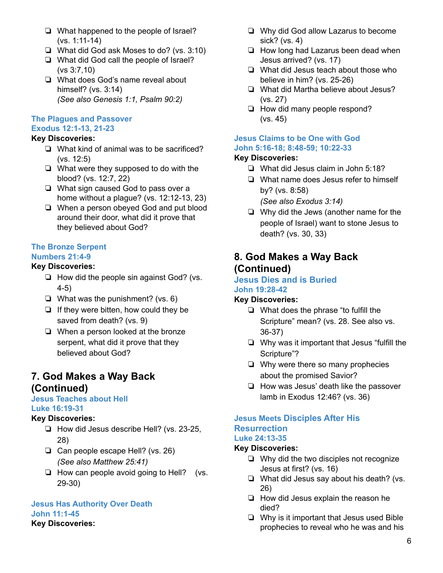- ❏ What happened to the people of Israel? (vs. 1:11-14)
- ❏ What did God ask Moses to do? (vs. 3:10)
- ❏ What did God call the people of Israel? (vs 3:7,10)
- ❏ What does God's name reveal about himself? (vs. 3:14) *(See also Genesis 1:1, Psalm 90:2)*

#### **The Plagues and Passover**

#### **Exodus 12:1-13, 21-23**

#### **Key Discoveries:**

- ❏ What kind of animal was to be sacrificed? (vs. 12:5)
- ❏ What were they supposed to do with the blood? (vs. 12:7, 22)
- ❏ What sign caused God to pass over a home without a plague? (vs. 12:12-13, 23)
- ❏ When a person obeyed God and put blood around their door, what did it prove that they believed about God?

#### **The Bronze Serpent Numbers 21:4-9**

#### **Key Discoveries:**

- ❏ How did the people sin against God? (vs. 4-5)
- ❏ What was the punishment? (vs. 6)
- ❏ If they were bitten, how could they be saved from death? (vs. 9)
- ❏ When a person looked at the bronze serpent, what did it prove that they believed about God?

#### **7. God Makes a Way Back (Continued)**

#### **Jesus Teaches about Hell Luke 16:19-31**

#### **Key Discoveries:**

- ❏ How did Jesus describe Hell? (vs. 23-25, 28)
- ❏ Can people escape Hell? (vs. 26) *(See also Matthew 25:41)*
- ❏ How can people avoid going to Hell? (vs. 29-30)

#### **Jesus Has Authority Over Death John 11:1-45**

#### **Key Discoveries:**

- ❏ Why did God allow Lazarus to become sick? (vs. 4)
- ❏ How long had Lazarus been dead when Jesus arrived? (vs. 17)
- ❏ What did Jesus teach about those who believe in him? (vs. 25-26)
- ❏ What did Martha believe about Jesus? (vs. 27)
- ❏ How did many people respond? (vs. 45)

#### **Jesus Claims to be One with God John 5:16-18; 8:48-59; 10:22-33**

#### **Key Discoveries:**

- ❏ What did Jesus claim in John 5:18?
- ❏ What name does Jesus refer to himself by? (vs. 8:58)
	- *(See also Exodus 3:14)*
- ❏ Why did the Jews (another name for the people of Israel) want to stone Jesus to death? (vs. 30, 33)

### **8. God Makes a Way Back (Continued)**

#### **Jesus Dies and is Buried John 19:28-42**

#### **Key Discoveries:**

- ❏ What does the phrase "to fulfill the Scripture" mean? (vs. 28. See also vs. 36-37)
- ❏ Why was it important that Jesus "fulfill the Scripture"?
- ❏ Why were there so many prophecies about the promised Savior?
- ❏ How was Jesus' death like the passover lamb in Exodus 12:46? (vs. 36)

#### **Jesus Meets Disciples After His Resurrection Luke 24:13-35**

#### **Key Discoveries:**

- ❏ Why did the two disciples not recognize Jesus at first? (vs. 16)
- ❏ What did Jesus say about his death? (vs. 26)
- ❏ How did Jesus explain the reason he died?
- ❏ Why is it important that Jesus used Bible prophecies to reveal who he was and his